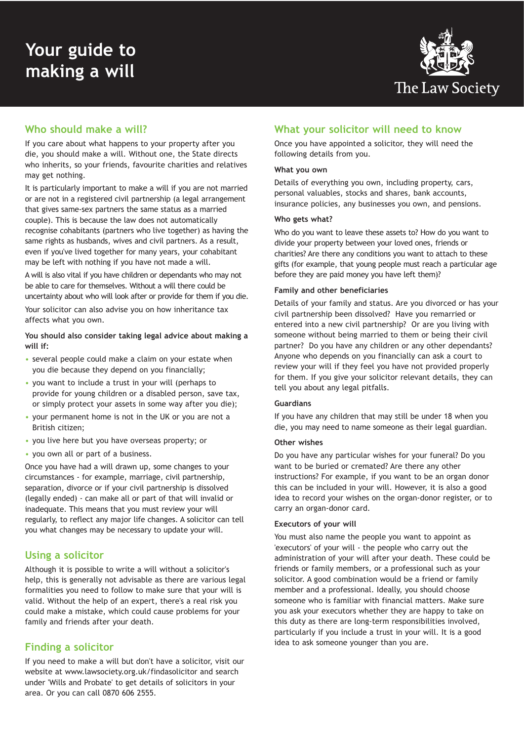

# **Who should make a will?**

If you care about what happens to your property after you die, you should make a will. Without one, the State directs who inherits, so your friends, favourite charities and relatives may get nothing.

It is particularly important to make a will if you are not married or are not in a registered civil partnership (a legal arrangement that gives same-sex partners the same status as a married couple). This is because the law does not automatically recognise cohabitants (partners who live together) as having the same rights as husbands, wives and civil partners. As a result, even if you've lived together for many years, your cohabitant may be left with nothing if you have not made a will.

A will is also vital if you have children or dependants who may not be able to care for themselves. Without a will there could be uncertainty about who will look after or provide for them if you die. Your solicitor can also advise you on how inheritance tax affects what you own.

**You should also consider taking legal advice about making a will if:** 

- several people could make a claim on your estate when you die because they depend on you financially;
- you want to include a trust in your will (perhaps to provide for young children or a disabled person, save tax, or simply protect your assets in some way after you die);
- your permanent home is not in the UK or you are not a British citizen;
- you live here but you have overseas property; or
- you own all or part of a business.

Once you have had a will drawn up, some changes to your circumstances - for example, marriage, civil partnership, separation, divorce or if your civil partnership is dissolved (legally ended) - can make all or part of that will invalid or inadequate. This means that you must review your will regularly, to reflect any major life changes. A solicitor can tell you what changes may be necessary to update your will.

## **Using a solicitor**

Although it is possible to write a will without a solicitor's help, this is generally not advisable as there are various legal formalities you need to follow to make sure that your will is valid. Without the help of an expert, there's a real risk you could make a mistake, which could cause problems for your family and friends after your death.

# **Finding a solicitor**

If you need to make a will but don't have a solicitor, visit our website at www.lawsociety.org.uk/findasolicitor and search under 'Wills and Probate' to get details of solicitors in your area. Or you can call 0870 606 2555.

# **What your solicitor will need to know**

Once you have appointed a solicitor, they will need the following details from you.

#### **What you own**

Details of everything you own, including property, cars, personal valuables, stocks and shares, bank accounts, insurance policies, any businesses you own, and pensions.

#### **Who gets what?**

Who do you want to leave these assets to? How do you want to divide your property between your loved ones, friends or charities? Are there any conditions you want to attach to these gifts (for example, that young people must reach a particular age before they are paid money you have left them)?

#### **Family and other beneficiaries**

Details of your family and status. Are you divorced or has your civil partnership been dissolved? Have you remarried or entered into a new civil partnership? Or are you living with someone without being married to them or being their civil partner? Do you have any children or any other dependants? Anyone who depends on you financially can ask a court to review your will if they feel you have not provided properly for them. If you give your solicitor relevant details, they can tell you about any legal pitfalls.

#### **Guardians**

If you have any children that may still be under 18 when you die, you may need to name someone as their legal guardian.

#### **Other wishes**

Do you have any particular wishes for your funeral? Do you want to be buried or cremated? Are there any other instructions? For example, if you want to be an organ donor this can be included in your will. However, it is also a good idea to record your wishes on the organ-donor register, or to carry an organ-donor card.

#### **Executors of your will**

You must also name the people you want to appoint as 'executors' of your will - the people who carry out the administration of your will after your death. These could be friends or family members, or a professional such as your solicitor. A good combination would be a friend or family member and a professional. Ideally, you should choose someone who is familiar with financial matters. Make sure you ask your executors whether they are happy to take on this duty as there are long-term responsibilities involved, particularly if you include a trust in your will. It is a good idea to ask someone younger than you are.